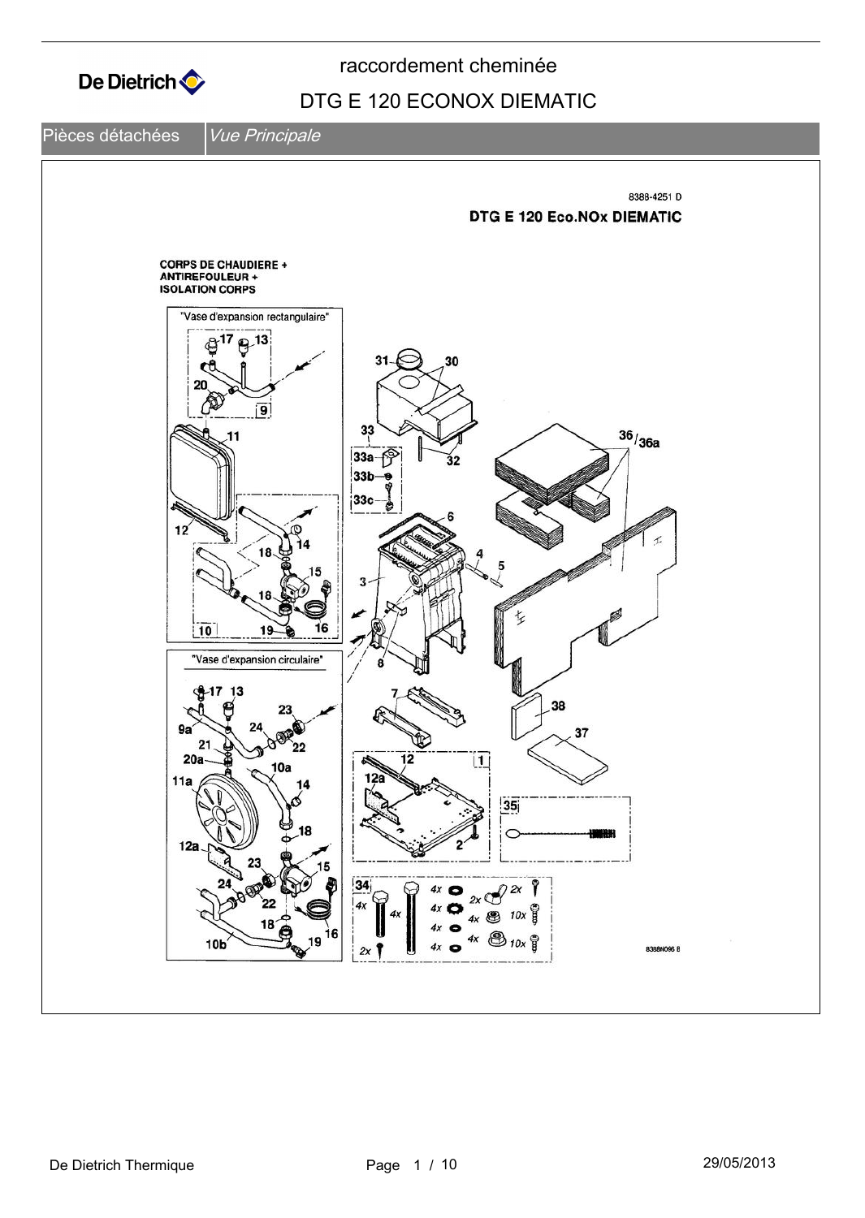

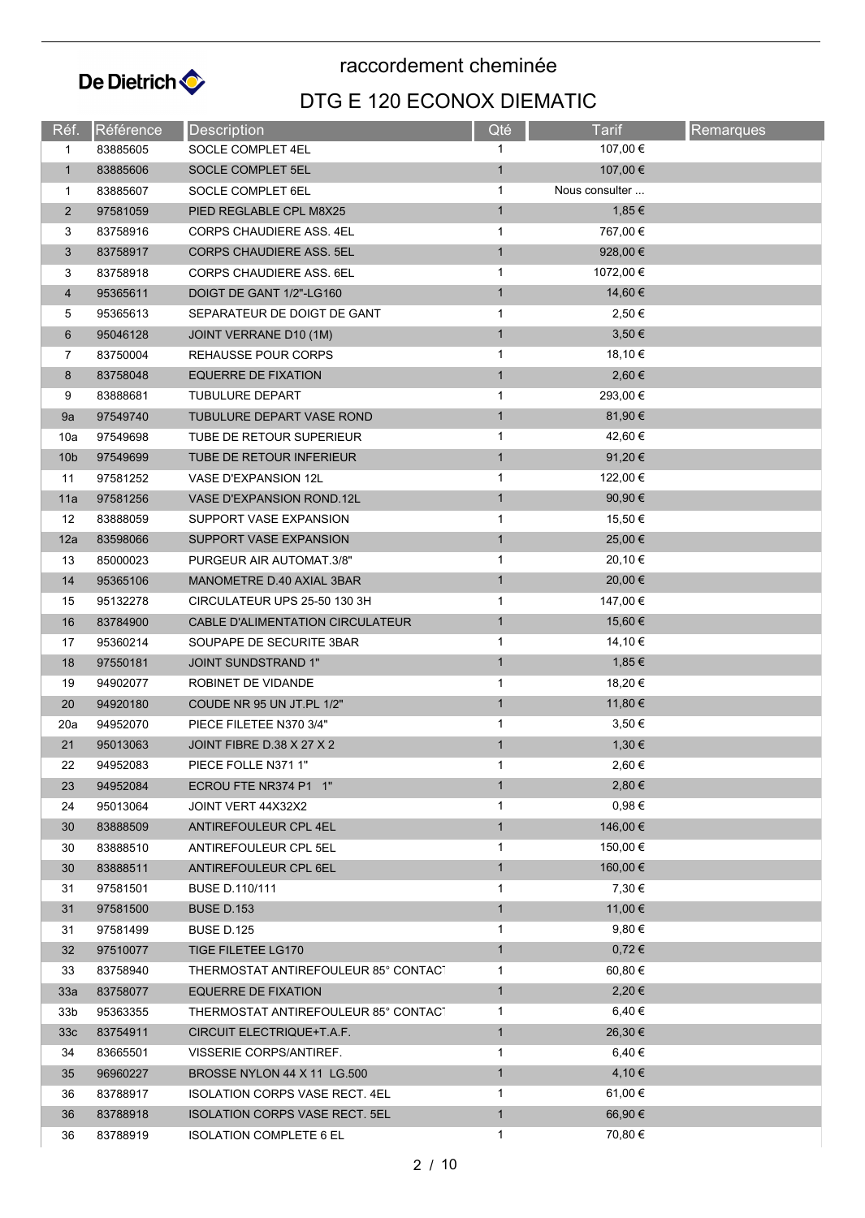

| Réf.            | Référence | <b>Description</b>                    | Qté          | Tarif          | Remarques |
|-----------------|-----------|---------------------------------------|--------------|----------------|-----------|
| 1               | 83885605  | SOCLE COMPLET 4EL                     | 1            | 107,00 €       |           |
| $\mathbf{1}$    | 83885606  | SOCLE COMPLET 5EL                     | $\mathbf{1}$ | 107,00 €       |           |
| 1               | 83885607  | SOCLE COMPLET 6EL                     | $\mathbf{1}$ | Nous consulter |           |
| $\overline{2}$  | 97581059  | PIED REGLABLE CPL M8X25               | $\mathbf{1}$ | 1,85 €         |           |
| 3               | 83758916  | <b>CORPS CHAUDIERE ASS. 4EL</b>       | $\mathbf{1}$ | 767,00 €       |           |
| 3               | 83758917  | <b>CORPS CHAUDIERE ASS. 5EL</b>       | $\mathbf{1}$ | 928,00 €       |           |
| 3               | 83758918  | <b>CORPS CHAUDIERE ASS. 6EL</b>       | $\mathbf{1}$ | 1072,00 €      |           |
| 4               | 95365611  | DOIGT DE GANT 1/2"-LG160              | $\mathbf{1}$ | 14,60 €        |           |
| 5               | 95365613  | SEPARATEUR DE DOIGT DE GANT           | 1            | 2,50 €         |           |
| 6               | 95046128  | JOINT VERRANE D10 (1M)                | $\mathbf{1}$ | $3,50 \in$     |           |
| 7               | 83750004  | <b>REHAUSSE POUR CORPS</b>            | 1            | 18,10 €        |           |
| 8               | 83758048  | <b>EQUERRE DE FIXATION</b>            | $\mathbf{1}$ | 2,60€          |           |
| 9               | 83888681  | TUBULURE DEPART                       | 1            | 293,00 €       |           |
| 9a              | 97549740  | TUBULURE DEPART VASE ROND             | $\mathbf{1}$ | 81,90 €        |           |
| 10a             | 97549698  | TUBE DE RETOUR SUPERIEUR              | $\mathbf{1}$ | 42,60 €        |           |
| 10 <sub>b</sub> | 97549699  | TUBE DE RETOUR INFERIEUR              | $\mathbf{1}$ | 91,20€         |           |
| 11              | 97581252  | VASE D'EXPANSION 12L                  | $\mathbf{1}$ | 122,00 €       |           |
| 11a             | 97581256  | VASE D'EXPANSION ROND.12L             | $\mathbf{1}$ | 90,90 €        |           |
| 12              | 83888059  | SUPPORT VASE EXPANSION                | 1            | 15,50 €        |           |
| 12a             | 83598066  | SUPPORT VASE EXPANSION                | $\mathbf{1}$ | 25,00 €        |           |
| 13              | 85000023  | PURGEUR AIR AUTOMAT.3/8"              | 1            | 20,10 €        |           |
| 14              | 95365106  | MANOMETRE D.40 AXIAL 3BAR             | $\mathbf{1}$ | 20,00 €        |           |
| 15              | 95132278  | CIRCULATEUR UPS 25-50 130 3H          | 1            | 147,00 €       |           |
| 16              | 83784900  | CABLE D'ALIMENTATION CIRCULATEUR      | $\mathbf{1}$ | 15,60 €        |           |
| 17              | 95360214  | SOUPAPE DE SECURITE 3BAR              | 1            | 14,10 €        |           |
| 18              | 97550181  | <b>JOINT SUNDSTRAND 1"</b>            | $\mathbf{1}$ | 1,85 €         |           |
| 19              | 94902077  | ROBINET DE VIDANDE                    | 1            | 18,20 €        |           |
| 20              | 94920180  | COUDE NR 95 UN JT.PL 1/2"             | $\mathbf{1}$ | 11,80 €        |           |
| 20a             | 94952070  | PIECE FILETEE N370 3/4"               | $\mathbf{1}$ | $3,50 \in$     |           |
| 21              | 95013063  | <b>JOINT FIBRE D.38 X 27 X 2</b>      | $\mathbf{1}$ | 1,30€          |           |
| 22              | 94952083  | PIECE FOLLE N371 1"                   | 1            | 2,60 €         |           |
| 23              | 94952084  | ECROU FTE NR374 P1 1"                 | $\mathbf{1}$ | 2,80€          |           |
| 24              | 95013064  | JOINT VERT 44X32X2                    | 1            | $0,98 \in$     |           |
| 30              | 83888509  | ANTIREFOULEUR CPL 4EL                 | $\mathbf{1}$ | 146,00 €       |           |
| 30              | 83888510  | ANTIREFOULEUR CPL 5EL                 | 1            | 150,00 €       |           |
| 30              | 83888511  | ANTIREFOULEUR CPL 6EL                 | $\mathbf{1}$ | 160,00 €       |           |
| 31              | 97581501  | BUSE D.110/111                        | $\mathbf{1}$ | 7,30 €         |           |
| 31              | 97581500  | <b>BUSE D.153</b>                     | $\mathbf{1}$ | 11,00 €        |           |
| 31              | 97581499  | <b>BUSE D.125</b>                     | $\mathbf{1}$ | $9,80 \in$     |           |
| 32              | 97510077  | <b>TIGE FILETEE LG170</b>             | $\mathbf{1}$ | $0,72 \in$     |           |
| 33              | 83758940  | THERMOSTAT ANTIREFOULEUR 85° CONTACT  | 1            | 60,80 €        |           |
| 33a             | 83758077  | <b>EQUERRE DE FIXATION</b>            | $\mathbf{1}$ | 2,20€          |           |
| 33b             | 95363355  | THERMOSTAT ANTIREFOULEUR 85° CONTACT  | $\mathbf{1}$ | 6,40 €         |           |
| 33c             | 83754911  | CIRCUIT ELECTRIQUE+T.A.F.             | $\mathbf{1}$ | 26,30 €        |           |
| 34              | 83665501  | VISSERIE CORPS/ANTIREF.               | 1            | 6,40 €         |           |
| 35              | 96960227  | BROSSE NYLON 44 X 11 LG.500           | $\mathbf{1}$ | 4,10€          |           |
| 36              | 83788917  | ISOLATION CORPS VASE RECT. 4EL        | 1            | 61,00 €        |           |
| 36              | 83788918  | <b>ISOLATION CORPS VASE RECT. 5EL</b> | $\mathbf{1}$ | 66,90 €        |           |
| 36              | 83788919  | <b>ISOLATION COMPLETE 6 EL</b>        | 1            | 70,80 €        |           |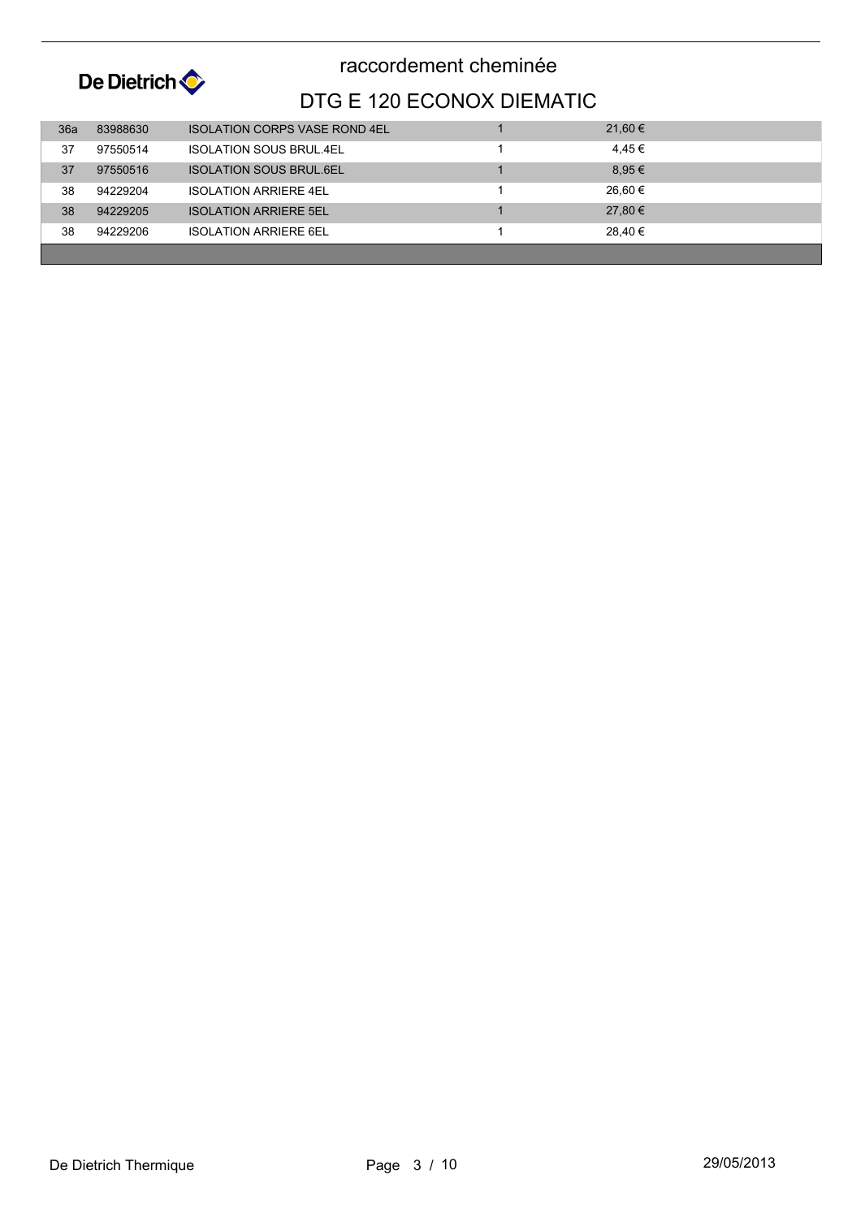

# DTG E 120 ECONOX DIEMATIC raccordement cheminée

| 36a | 83988630 | <b>ISOLATION CORPS VASE ROND 4EL</b> | 21,60 €    |  |
|-----|----------|--------------------------------------|------------|--|
| 37  | 97550514 | <b>ISOLATION SOUS BRUL 4EL</b>       | 4.45 €     |  |
| 37  | 97550516 | <b>ISOLATION SOUS BRUL.6EL</b>       | $8.95 \in$ |  |
| 38  | 94229204 | <b>ISOLATION ARRIERE 4EL</b>         | 26.60 €    |  |
| 38  | 94229205 | <b>ISOLATION ARRIERE 5EL</b>         | 27.80 €    |  |
| 38  | 94229206 | <b>ISOLATION ARRIERE 6EL</b>         | 28.40 €    |  |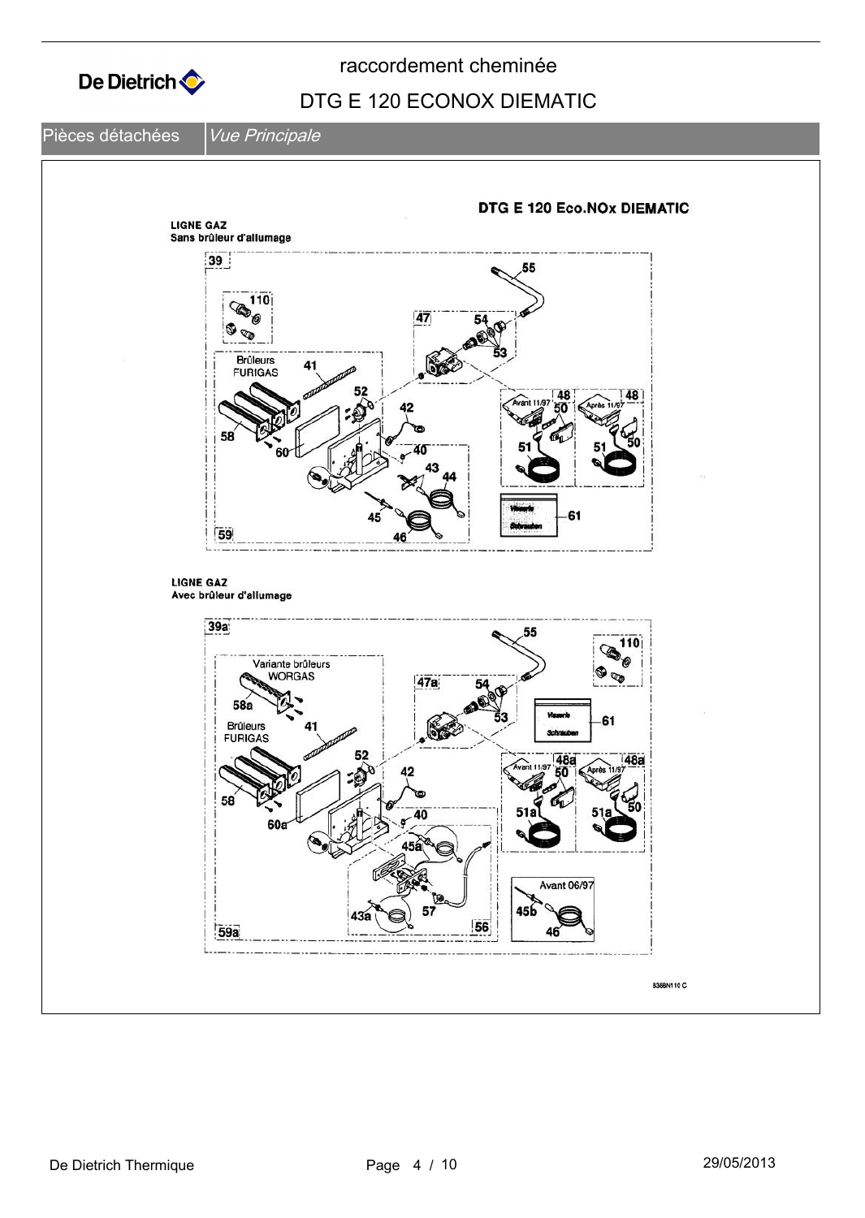



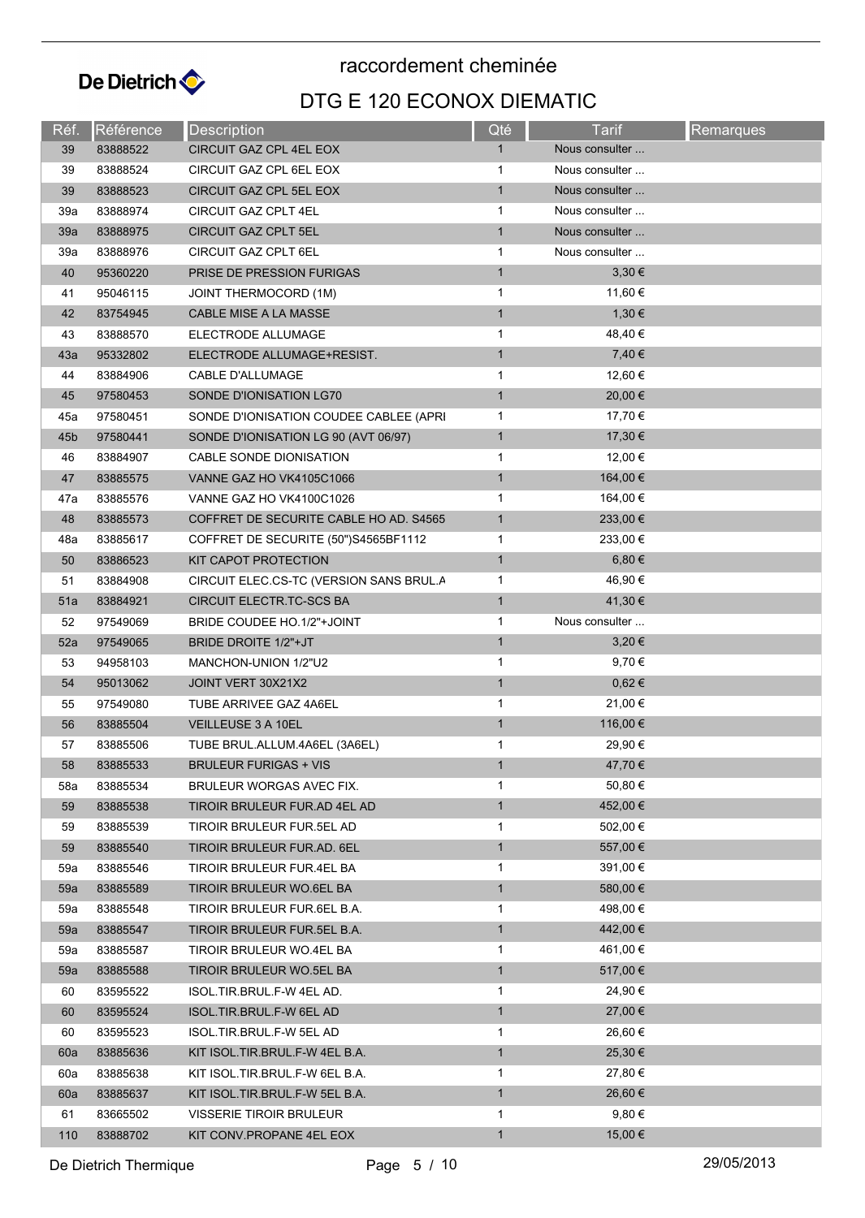

| Réf. | Référence | <b>Description</b>                      | Qté          | Tarif          | <b>Remarques</b> |
|------|-----------|-----------------------------------------|--------------|----------------|------------------|
| 39   | 83888522  | CIRCUIT GAZ CPL 4EL EOX                 | $\mathbf{1}$ | Nous consulter |                  |
| 39   | 83888524  | CIRCUIT GAZ CPL 6EL EOX                 | 1            | Nous consulter |                  |
| 39   | 83888523  | CIRCUIT GAZ CPL 5EL EOX                 | $\mathbf{1}$ | Nous consulter |                  |
| 39a  | 83888974  | <b>CIRCUIT GAZ CPLT 4EL</b>             | $\mathbf 1$  | Nous consulter |                  |
| 39a  | 83888975  | <b>CIRCUIT GAZ CPLT 5EL</b>             | $\mathbf{1}$ | Nous consulter |                  |
| 39a  | 83888976  | <b>CIRCUIT GAZ CPLT 6EL</b>             | 1            | Nous consulter |                  |
| 40   | 95360220  | <b>PRISE DE PRESSION FURIGAS</b>        | $\mathbf{1}$ | $3,30 \in$     |                  |
| 41   | 95046115  | JOINT THERMOCORD (1M)                   | $\mathbf{1}$ | 11,60 €        |                  |
| 42   | 83754945  | CABLE MISE A LA MASSE                   | $\mathbf{1}$ | 1,30 €         |                  |
| 43   | 83888570  | ELECTRODE ALLUMAGE                      | $\mathbf{1}$ | 48,40 €        |                  |
| 43a  | 95332802  | ELECTRODE ALLUMAGE+RESIST.              | $\mathbf{1}$ | 7,40 €         |                  |
| 44   | 83884906  | CABLE D'ALLUMAGE                        | 1            | 12,60 €        |                  |
| 45   | 97580453  | SONDE D'IONISATION LG70                 | $\mathbf{1}$ | 20,00 €        |                  |
| 45a  | 97580451  | SONDE D'IONISATION COUDEE CABLEE (APRI  | $\mathbf 1$  | 17,70 €        |                  |
| 45b  | 97580441  | SONDE D'IONISATION LG 90 (AVT 06/97)    | $\mathbf{1}$ | 17,30 €        |                  |
| 46   | 83884907  | CABLE SONDE DIONISATION                 | $\mathbf{1}$ | 12,00 €        |                  |
| 47   | 83885575  | VANNE GAZ HO VK4105C1066                | $\mathbf{1}$ | 164,00 €       |                  |
| 47a  | 83885576  | VANNE GAZ HO VK4100C1026                | $\mathbf{1}$ | 164,00 €       |                  |
| 48   | 83885573  | COFFRET DE SECURITE CABLE HO AD. S4565  | $\mathbf{1}$ | 233,00 €       |                  |
| 48a  | 83885617  | COFFRET DE SECURITE (50")S4565BF1112    | $\mathbf{1}$ | 233,00 €       |                  |
| 50   | 83886523  | KIT CAPOT PROTECTION                    | $\mathbf{1}$ | 6,80 €         |                  |
| 51   | 83884908  | CIRCUIT ELEC.CS-TC (VERSION SANS BRUL.A | $\mathbf{1}$ | 46,90 €        |                  |
| 51a  | 83884921  | <b>CIRCUIT ELECTR TC-SCS BA</b>         | $\mathbf{1}$ | 41,30 €        |                  |
| 52   | 97549069  | BRIDE COUDEE HO.1/2"+JOINT              | $\mathbf{1}$ | Nous consulter |                  |
| 52a  | 97549065  | <b>BRIDE DROITE 1/2"+JT</b>             | $\mathbf{1}$ | 3,20€          |                  |
| 53   | 94958103  | MANCHON-UNION 1/2"U2                    | $\mathbf{1}$ | 9,70 €         |                  |
| 54   | 95013062  | JOINT VERT 30X21X2                      | $\mathbf{1}$ | $0,62 \in$     |                  |
| 55   | 97549080  | TUBE ARRIVEE GAZ 4A6EL                  | $\mathbf{1}$ | 21,00 €        |                  |
| 56   | 83885504  | VEILLEUSE 3 A 10EL                      | $\mathbf{1}$ | 116,00 €       |                  |
| 57   | 83885506  | TUBE BRUL.ALLUM.4A6EL (3A6EL)           | 1            | 29,90 €        |                  |
| 58   | 83885533  | <b>BRULEUR FURIGAS + VIS</b>            | $\mathbf{1}$ | 47,70€         |                  |
| 58a  | 83885534  | <b>BRULEUR WORGAS AVEC FIX.</b>         | $\mathbf{1}$ | 50,80 €        |                  |
| 59   | 83885538  | TIROIR BRULEUR FUR.AD 4EL AD            | $\mathbf{1}$ | 452,00 €       |                  |
| 59   | 83885539  | TIROIR BRULEUR FUR.5EL AD               | $\mathbf 1$  | 502,00 €       |                  |
| 59   | 83885540  | TIROIR BRULEUR FUR.AD. 6EL              | $\mathbf{1}$ | 557,00 €       |                  |
| 59a  | 83885546  | TIROIR BRULEUR FUR 4EL BA               | $\mathbf{1}$ | 391,00 €       |                  |
| 59a  | 83885589  | TIROIR BRULEUR WO.6EL BA                | $\mathbf{1}$ | 580,00 €       |                  |
| 59a  | 83885548  | TIROIR BRULEUR FUR.6EL B.A.             | 1            | 498,00 €       |                  |
| 59a  | 83885547  | TIROIR BRULEUR FUR.5EL B.A.             | $\mathbf{1}$ | 442,00 €       |                  |
| 59a  | 83885587  | TIROIR BRULEUR WO.4EL BA                | $\mathbf 1$  | 461,00 €       |                  |
| 59a  | 83885588  | TIROIR BRULEUR WO.5EL BA                | $\mathbf{1}$ | 517,00 €       |                  |
| 60   | 83595522  | ISOL.TIR.BRUL.F-W 4EL AD.               | $\mathbf 1$  | 24,90 €        |                  |
| 60   | 83595524  | ISOL.TIR.BRUL.F-W 6EL AD                | $\mathbf{1}$ | 27,00 €        |                  |
| 60   | 83595523  | ISOL.TIR.BRUL.F-W 5EL AD                | $\mathbf{1}$ | 26,60 €        |                  |
| 60a  | 83885636  | KIT ISOL TIR BRUL F-W 4EL B.A.          | $\mathbf{1}$ | 25,30 €        |                  |
| 60a  | 83885638  | KIT ISOL.TIR.BRUL.F-W 6EL B.A.          | $\mathbf{1}$ | 27,80 €        |                  |
| 60a  | 83885637  | KIT ISOL.TIR.BRUL.F-W 5EL B.A.          | $\mathbf{1}$ | 26,60 €        |                  |
| 61   | 83665502  | VISSERIE TIROIR BRULEUR                 | $\mathbf 1$  | 9,80€          |                  |
| 110  | 83888702  | KIT CONV.PROPANE 4EL EOX                | $\mathbf{1}$ | 15,00 €        |                  |
|      |           |                                         |              |                |                  |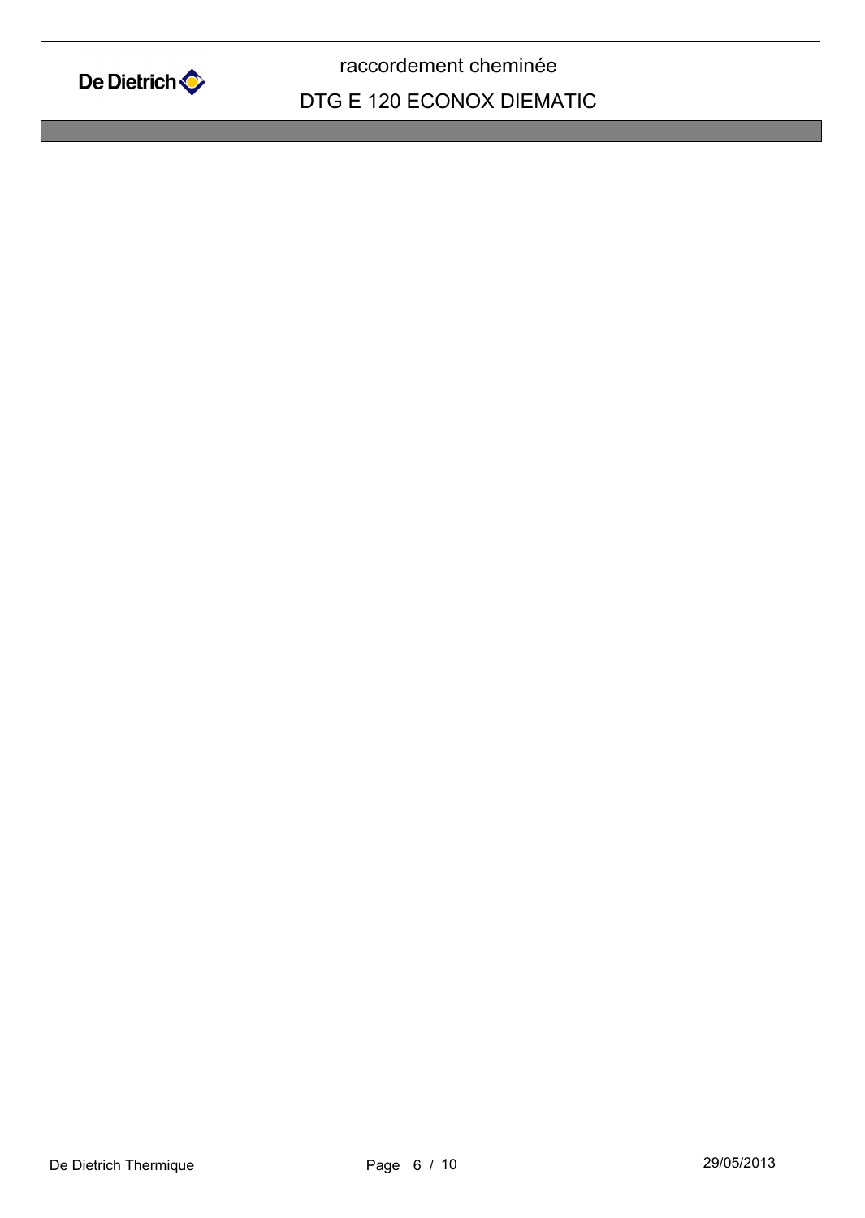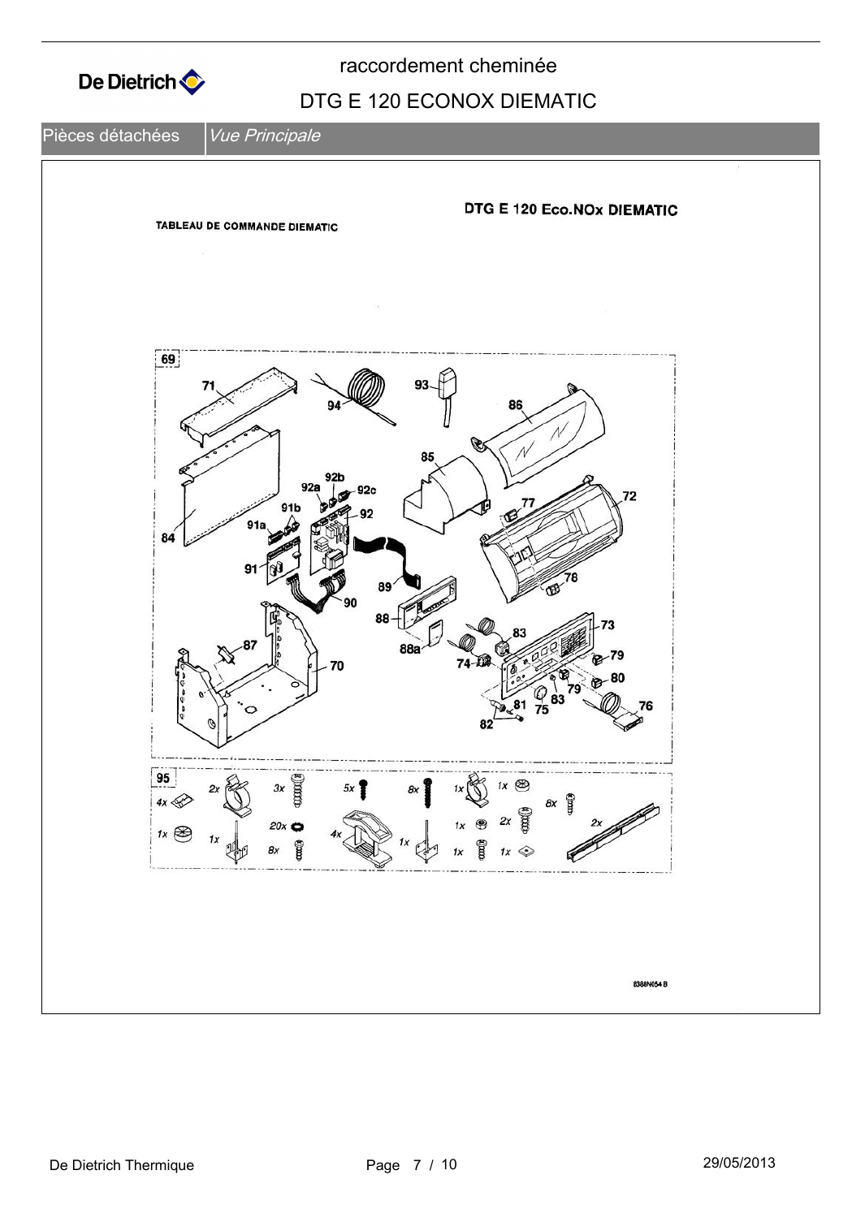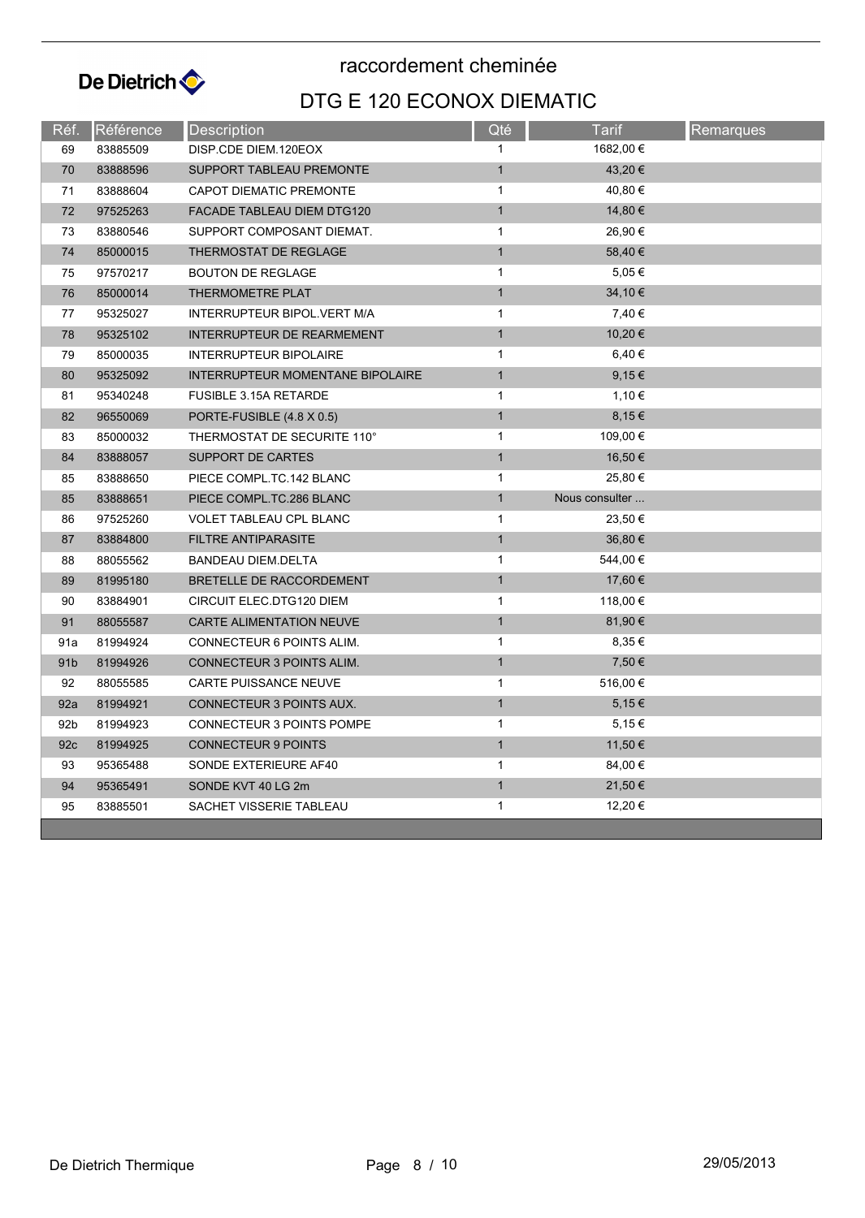

| Réf.            | Référence | Description                       | Qté          | <b>Tarif</b>   | Remarques |
|-----------------|-----------|-----------------------------------|--------------|----------------|-----------|
| 69              | 83885509  | DISP.CDE DIEM.120EOX              | 1            | 1682,00 €      |           |
| 70              | 83888596  | SUPPORT TABLEAU PREMONTE          | $\mathbf{1}$ | 43,20 €        |           |
| $71$            | 83888604  | CAPOT DIEMATIC PREMONTE           | $\mathbf{1}$ | 40,80 €        |           |
| 72              | 97525263  | <b>FACADE TABLEAU DIEM DTG120</b> | $\mathbf{1}$ | 14,80 €        |           |
| 73              | 83880546  | SUPPORT COMPOSANT DIEMAT.         | 1            | 26,90 €        |           |
| 74              | 85000015  | THERMOSTAT DE REGLAGE             | $\mathbf{1}$ | 58,40 €        |           |
| 75              | 97570217  | <b>BOUTON DE REGLAGE</b>          | 1            | $5,05 \in$     |           |
| 76              | 85000014  | THERMOMETRE PLAT                  | $\mathbf{1}$ | 34,10 €        |           |
| 77              | 95325027  | INTERRUPTEUR BIPOL.VERT M/A       | $\mathbf{1}$ | 7,40 €         |           |
| 78              | 95325102  | <b>INTERRUPTEUR DE REARMEMENT</b> | $\mathbf{1}$ | 10,20 €        |           |
| 79              | 85000035  | INTERRUPTEUR BIPOLAIRE            | 1            | 6,40 €         |           |
| 80              | 95325092  | INTERRUPTEUR MOMENTANE BIPOLAIRE  | $\mathbf{1}$ | 9,15€          |           |
| 81              | 95340248  | <b>FUSIBLE 3.15A RETARDE</b>      | $\mathbf{1}$ | 1,10 €         |           |
| 82              | 96550069  | PORTE-FUSIBLE (4.8 X 0.5)         | $\mathbf{1}$ | 8,15€          |           |
| 83              | 85000032  | THERMOSTAT DE SECURITE 110°       | $\mathbf{1}$ | 109,00 €       |           |
| 84              | 83888057  | <b>SUPPORT DE CARTES</b>          | $\mathbf{1}$ | 16,50 €        |           |
| 85              | 83888650  | PIECE COMPL.TC.142 BLANC          | $\mathbf{1}$ | 25,80 €        |           |
| 85              | 83888651  | PIECE COMPL.TC.286 BLANC          | $\mathbf{1}$ | Nous consulter |           |
| 86              | 97525260  | VOLET TABLEAU CPL BLANC           | $\mathbf{1}$ | 23,50 €        |           |
| 87              | 83884800  | <b>FILTRE ANTIPARASITE</b>        | $\mathbf{1}$ | 36,80 €        |           |
| 88              | 88055562  | <b>BANDEAU DIEM.DELTA</b>         | $\mathbf{1}$ | 544,00 €       |           |
| 89              | 81995180  | BRETELLE DE RACCORDEMENT          | $\mathbf{1}$ | 17,60 €        |           |
| 90              | 83884901  | CIRCUIT ELEC.DTG120 DIEM          | $\mathbf{1}$ | 118,00 €       |           |
| 91              | 88055587  | CARTE ALIMENTATION NEUVE          | $\mathbf{1}$ | 81,90 €        |           |
| 91a             | 81994924  | CONNECTEUR 6 POINTS ALIM.         | $\mathbf{1}$ | $8,35 \in$     |           |
| 91b             | 81994926  | CONNECTEUR 3 POINTS ALIM.         | $\mathbf{1}$ | 7,50€          |           |
| 92              | 88055585  | CARTE PUISSANCE NEUVE             | $\mathbf{1}$ | 516,00 €       |           |
| 92a             | 81994921  | <b>CONNECTEUR 3 POINTS AUX.</b>   | $\mathbf{1}$ | 5,15€          |           |
| 92 <sub>b</sub> | 81994923  | CONNECTEUR 3 POINTS POMPE         | $\mathbf{1}$ | 5,15€          |           |
| 92c             | 81994925  | <b>CONNECTEUR 9 POINTS</b>        | $\mathbf{1}$ | 11,50 €        |           |
| 93              | 95365488  | SONDE EXTERIEURE AF40             | $\mathbf{1}$ | 84,00 €        |           |
| 94              | 95365491  | SONDE KVT 40 LG 2m                | $\mathbf{1}$ | 21,50 €        |           |
| 95              | 83885501  | SACHET VISSERIE TABLEAU           | $\mathbf{1}$ | 12,20 €        |           |
|                 |           |                                   |              |                |           |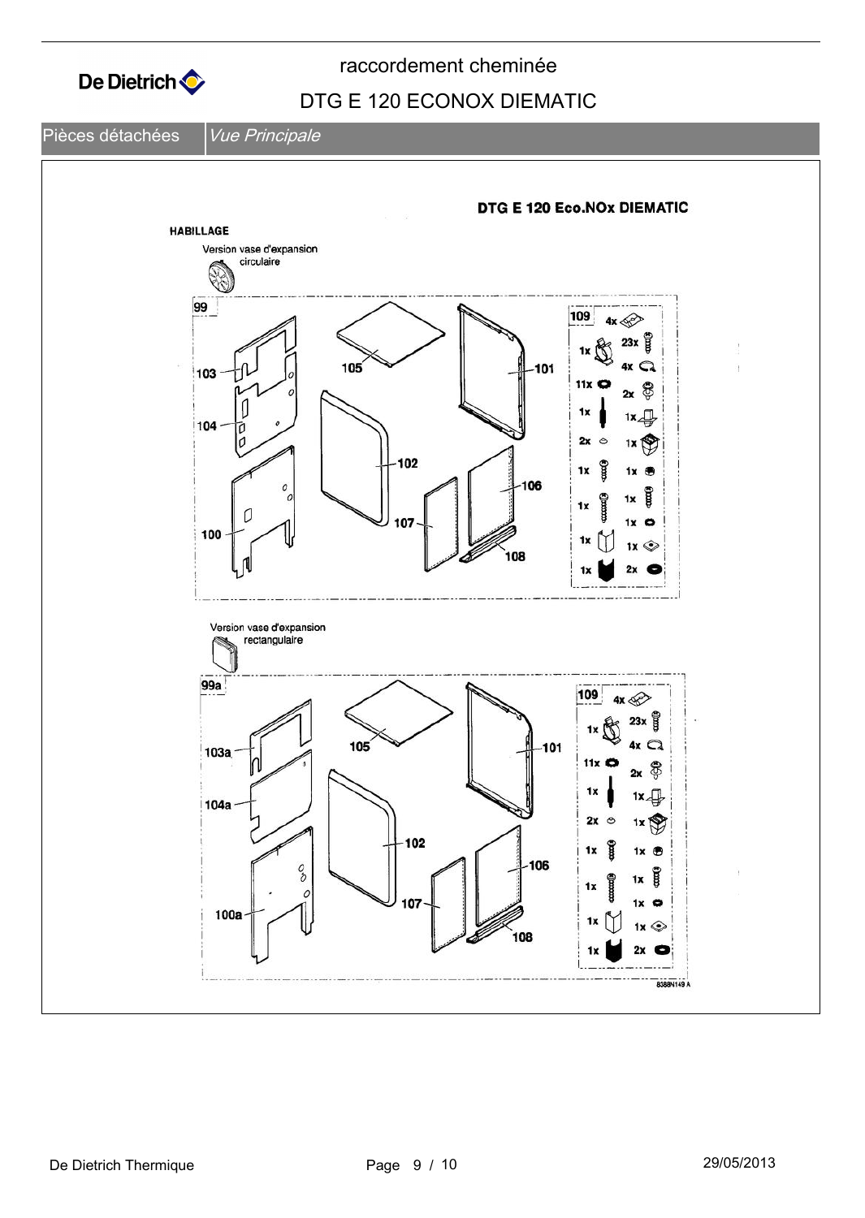

#### DTG E 120 ECONOX DIEMATIC

Pièces détachées *Vue Principale*